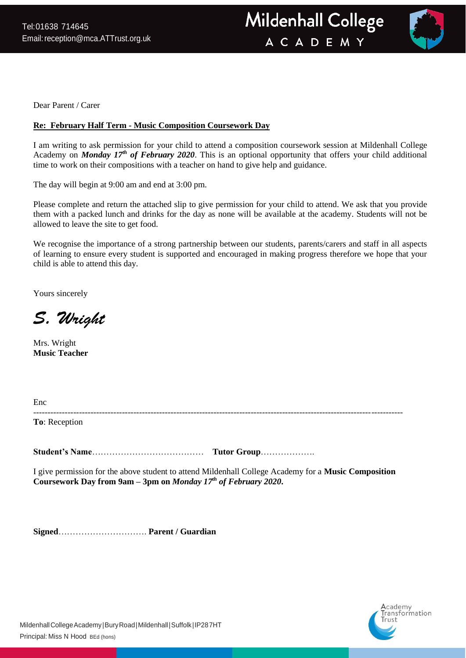

Dear Parent / Carer

## **Re: February Half Term - Music Composition Coursework Day**

I am writing to ask permission for your child to attend a composition coursework session at Mildenhall College Academy on *Monday 17<sup>th</sup> of February 2020*. This is an optional opportunity that offers your child additional time to work on their compositions with a teacher on hand to give help and guidance.

The day will begin at 9:00 am and end at 3:00 pm.

Please complete and return the attached slip to give permission for your child to attend. We ask that you provide them with a packed lunch and drinks for the day as none will be available at the academy. Students will not be allowed to leave the site to get food.

We recognise the importance of a strong partnership between our students, parents/carers and staff in all aspects of learning to ensure every student is supported and encouraged in making progress therefore we hope that your child is able to attend this day.

Yours sincerely

S. Wright

Mrs. Wright **Music Teacher**

| Enc           |  |  |
|---------------|--|--|
| To: Reception |  |  |

**Student's Name**………………………………… **Tutor Group**……………….

I give permission for the above student to attend Mildenhall College Academy for a **Music Composition Coursework Day from 9am – 3pm on** *Monday 17 th of February 2020***.**

**Signed**…………………………. **Parent / Guardian**